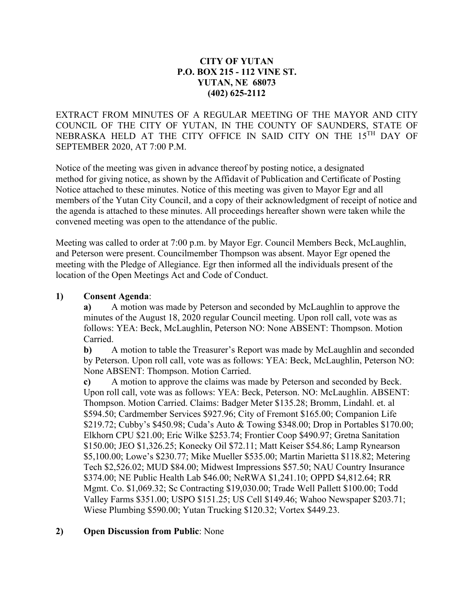## **CITY OF YUTAN P.O. BOX 215 - 112 VINE ST. YUTAN, NE 68073 (402) 625-2112**

EXTRACT FROM MINUTES OF A REGULAR MEETING OF THE MAYOR AND CITY COUNCIL OF THE CITY OF YUTAN, IN THE COUNTY OF SAUNDERS, STATE OF NEBRASKA HELD AT THE CITY OFFICE IN SAID CITY ON THE 15TH DAY OF SEPTEMBER 2020, AT 7:00 P.M.

Notice of the meeting was given in advance thereof by posting notice, a designated method for giving notice, as shown by the Affidavit of Publication and Certificate of Posting Notice attached to these minutes. Notice of this meeting was given to Mayor Egr and all members of the Yutan City Council, and a copy of their acknowledgment of receipt of notice and the agenda is attached to these minutes. All proceedings hereafter shown were taken while the convened meeting was open to the attendance of the public.

Meeting was called to order at 7:00 p.m. by Mayor Egr. Council Members Beck, McLaughlin, and Peterson were present. Councilmember Thompson was absent. Mayor Egr opened the meeting with the Pledge of Allegiance. Egr then informed all the individuals present of the location of the Open Meetings Act and Code of Conduct.

#### **1) Consent Agenda**:

**a)** A motion was made by Peterson and seconded by McLaughlin to approve the minutes of the August 18, 2020 regular Council meeting. Upon roll call, vote was as follows: YEA: Beck, McLaughlin, Peterson NO: None ABSENT: Thompson. Motion Carried.

**b)** A motion to table the Treasurer's Report was made by McLaughlin and seconded by Peterson. Upon roll call, vote was as follows: YEA: Beck, McLaughlin, Peterson NO: None ABSENT: Thompson. Motion Carried.

**c)** A motion to approve the claims was made by Peterson and seconded by Beck. Upon roll call, vote was as follows: YEA: Beck, Peterson. NO: McLaughlin. ABSENT: Thompson. Motion Carried. Claims: Badger Meter \$135.28; Bromm, Lindahl. et. al \$594.50; Cardmember Services \$927.96; City of Fremont \$165.00; Companion Life \$219.72; Cubby's \$450.98; Cuda's Auto & Towing \$348.00; Drop in Portables \$170.00; Elkhorn CPU \$21.00; Eric Wilke \$253.74; Frontier Coop \$490.97; Gretna Sanitation \$150.00; JEO \$1,326.25; Konecky Oil \$72.11; Matt Keiser \$54.86; Lamp Rynearson \$5,100.00; Lowe's \$230.77; Mike Mueller \$535.00; Martin Marietta \$118.82; Metering Tech \$2,526.02; MUD \$84.00; Midwest Impressions \$57.50; NAU Country Insurance \$374.00; NE Public Health Lab \$46.00; NeRWA \$1,241.10; OPPD \$4,812.64; RR Mgmt. Co. \$1,069.32; Sc Contracting \$19,030.00; Trade Well Pallett \$100.00; Todd Valley Farms \$351.00; USPO \$151.25; US Cell \$149.46; Wahoo Newspaper \$203.71; Wiese Plumbing \$590.00; Yutan Trucking \$120.32; Vortex \$449.23.

## **2) Open Discussion from Public**: None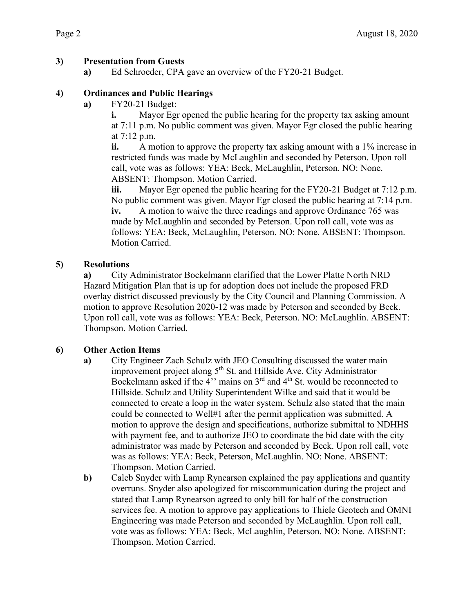# **3) Presentation from Guests**

**a)** Ed Schroeder, CPA gave an overview of the FY20-21 Budget.

# **4) Ordinances and Public Hearings**

**a)** FY20-21 Budget:

**i.** Mayor Egr opened the public hearing for the property tax asking amount at 7:11 p.m. No public comment was given. Mayor Egr closed the public hearing at 7:12 p.m.

**ii.** A motion to approve the property tax asking amount with a 1% increase in restricted funds was made by McLaughlin and seconded by Peterson. Upon roll call, vote was as follows: YEA: Beck, McLaughlin, Peterson. NO: None. ABSENT: Thompson. Motion Carried.

**iii.** Mayor Egr opened the public hearing for the FY20-21 Budget at 7:12 p.m. No public comment was given. Mayor Egr closed the public hearing at 7:14 p.m.

**iv.** A motion to waive the three readings and approve Ordinance 765 was made by McLaughlin and seconded by Peterson. Upon roll call, vote was as follows: YEA: Beck, McLaughlin, Peterson. NO: None. ABSENT: Thompson. Motion Carried.

# **5) Resolutions**

**a)** City Administrator Bockelmann clarified that the Lower Platte North NRD Hazard Mitigation Plan that is up for adoption does not include the proposed FRD overlay district discussed previously by the City Council and Planning Commission. A motion to approve Resolution 2020-12 was made by Peterson and seconded by Beck. Upon roll call, vote was as follows: YEA: Beck, Peterson. NO: McLaughlin. ABSENT: Thompson. Motion Carried.

## **6) Other Action Items**

- **a)** City Engineer Zach Schulz with JEO Consulting discussed the water main improvement project along  $5<sup>th</sup>$  St. and Hillside Ave. City Administrator Bockelmann asked if the 4'' mains on 3rd and 4th St. would be reconnected to Hillside. Schulz and Utility Superintendent Wilke and said that it would be connected to create a loop in the water system. Schulz also stated that the main could be connected to Well#1 after the permit application was submitted. A motion to approve the design and specifications, authorize submittal to NDHHS with payment fee, and to authorize JEO to coordinate the bid date with the city administrator was made by Peterson and seconded by Beck. Upon roll call, vote was as follows: YEA: Beck, Peterson, McLaughlin. NO: None. ABSENT: Thompson. Motion Carried.
- **b)** Caleb Snyder with Lamp Rynearson explained the pay applications and quantity overruns. Snyder also apologized for miscommunication during the project and stated that Lamp Rynearson agreed to only bill for half of the construction services fee. A motion to approve pay applications to Thiele Geotech and OMNI Engineering was made Peterson and seconded by McLaughlin. Upon roll call, vote was as follows: YEA: Beck, McLaughlin, Peterson. NO: None. ABSENT: Thompson. Motion Carried.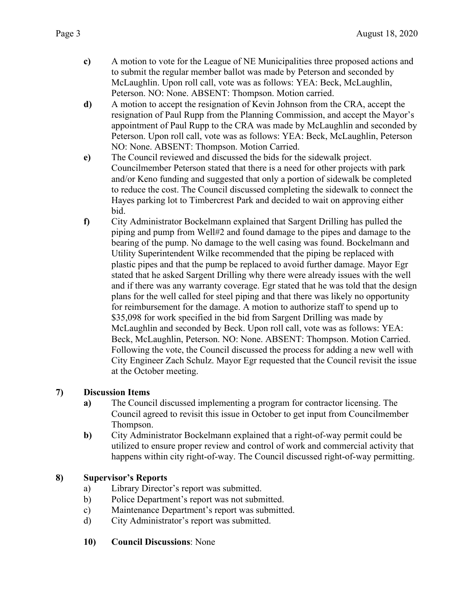- **c)** A motion to vote for the League of NE Municipalities three proposed actions and to submit the regular member ballot was made by Peterson and seconded by McLaughlin. Upon roll call, vote was as follows: YEA: Beck, McLaughlin, Peterson. NO: None. ABSENT: Thompson. Motion carried.
- **d)** A motion to accept the resignation of Kevin Johnson from the CRA, accept the resignation of Paul Rupp from the Planning Commission, and accept the Mayor's appointment of Paul Rupp to the CRA was made by McLaughlin and seconded by Peterson. Upon roll call, vote was as follows: YEA: Beck, McLaughlin, Peterson NO: None. ABSENT: Thompson. Motion Carried.
- **e)** The Council reviewed and discussed the bids for the sidewalk project. Councilmember Peterson stated that there is a need for other projects with park and/or Keno funding and suggested that only a portion of sidewalk be completed to reduce the cost. The Council discussed completing the sidewalk to connect the Hayes parking lot to Timbercrest Park and decided to wait on approving either bid.
- **f)** City Administrator Bockelmann explained that Sargent Drilling has pulled the piping and pump from Well#2 and found damage to the pipes and damage to the bearing of the pump. No damage to the well casing was found. Bockelmann and Utility Superintendent Wilke recommended that the piping be replaced with plastic pipes and that the pump be replaced to avoid further damage. Mayor Egr stated that he asked Sargent Drilling why there were already issues with the well and if there was any warranty coverage. Egr stated that he was told that the design plans for the well called for steel piping and that there was likely no opportunity for reimbursement for the damage. A motion to authorize staff to spend up to \$35,098 for work specified in the bid from Sargent Drilling was made by McLaughlin and seconded by Beck. Upon roll call, vote was as follows: YEA: Beck, McLaughlin, Peterson. NO: None. ABSENT: Thompson. Motion Carried. Following the vote, the Council discussed the process for adding a new well with City Engineer Zach Schulz. Mayor Egr requested that the Council revisit the issue at the October meeting.

# **7) Discussion Items**

- **a)** The Council discussed implementing a program for contractor licensing. The Council agreed to revisit this issue in October to get input from Councilmember Thompson.
- **b)** City Administrator Bockelmann explained that a right-of-way permit could be utilized to ensure proper review and control of work and commercial activity that happens within city right-of-way. The Council discussed right-of-way permitting.

## **8) Supervisor's Reports**

- a) Library Director's report was submitted.
- b) Police Department's report was not submitted.
- c) Maintenance Department's report was submitted.
- d) City Administrator's report was submitted.
- **10) Council Discussions**: None